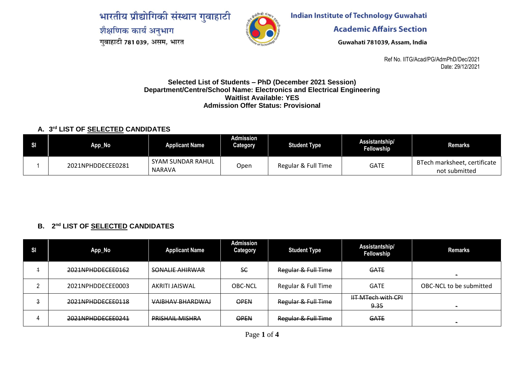भारतीय प्रौद्योगिकी संस्थान गुवाहाटी शैक्षणिक कार्य अनुभाग गुवाहाटी 781 039, असम, भारत



**Indian Institute of Technology Guwahati** 

**Academic Affairs Section** 

Guwahati 781039, Assam, India

Ref No. IITG/Acad/PG/AdmPhD/Dec/2021 Date: 29/12/2021

#### **Selected List of Students – PhD (December 2021 Session) Department/Centre/School Name: Electronics and Electrical Engineering Waitlist Available: YES Admission Offer Status: Provisional**

#### **A. 3 rd LIST OF SELECTED CANDIDATES**

| App_No            | <b>Applicant Name</b>              | <b>Admission</b><br>Category | <b>Student Type</b> | Assistantship/<br><b>Fellowship</b> | <b>Remarks</b>                                |
|-------------------|------------------------------------|------------------------------|---------------------|-------------------------------------|-----------------------------------------------|
| 2021NPHDDECEE0281 | SYAM SUNDAR RAHUL<br><b>NARAVA</b> | Open                         | Regular & Full Time | GATE                                | BTech marksheet, certificate<br>not submitted |

# **B. 2 nd LIST OF SELECTED CANDIDATES**

| SI | App_No            | <b>Applicant Name</b>   | Admission<br>Category | <b>Student Type</b> | Assistantship/<br><b>Fellowship</b> | <b>Remarks</b>          |
|----|-------------------|-------------------------|-----------------------|---------------------|-------------------------------------|-------------------------|
|    | 2021NPHDDECEE0162 | <b>SONALIE AHIRWAR</b>  | SE                    | Regular & Full Time | <b>GATE</b>                         |                         |
|    | 2021NPHDDECEE0003 | AKRITI JAISWAL          | <b>OBC-NCL</b>        | Regular & Full Time | <b>GATE</b>                         | OBC-NCL to be submitted |
| a  | 2021NPHDDECEE0118 | <b>VAIBHAV BHARDWAJ</b> | <b>OPEN</b>           | Regular & Full Time | <b>HT MTech with CPI</b><br>9.35    | $\sim$                  |
|    | 2021NPHDDECEE0241 | <b>PRISHAIL MISHRA</b>  | <b>OPEN</b>           | Regular & Full Time | <b>GATE</b>                         |                         |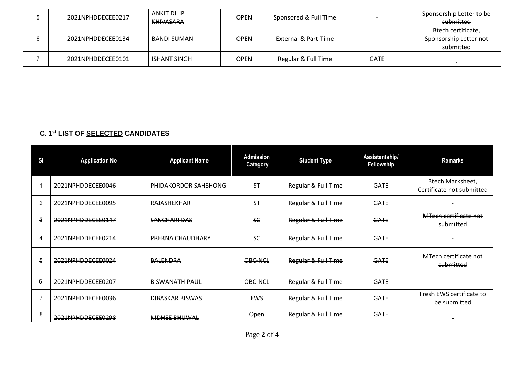| 2021NPHDDECEE0217 | <b>ANKIT DILIP</b><br><b>KHIVASARA</b> | <b>OPEN</b> | Sponsored & Full Time |             | Sponsorship Letter to be<br>submitted                     |
|-------------------|----------------------------------------|-------------|-----------------------|-------------|-----------------------------------------------------------|
| 2021NPHDDECEE0134 | BANDI SUMAN                            | <b>OPEN</b> | External & Part-Time  |             | Btech certificate,<br>Sponsorship Letter not<br>submitted |
| 2021NPHDDECEE0101 | <b>ISHANT SINGH</b>                    | <b>OPEN</b> | Regular & Full Time   | <b>GATE</b> | -                                                         |

## **C. 1 st LIST OF SELECTED CANDIDATES**

| <b>SI</b>      | <b>Application No</b> | <b>Applicant Name</b> | <b>Admission</b><br><b>Category</b> | <b>Student Type</b> | Assistantship/<br>Fellowship | <b>Remarks</b>                                |
|----------------|-----------------------|-----------------------|-------------------------------------|---------------------|------------------------------|-----------------------------------------------|
|                | 2021NPHDDECEE0046     | PHIDAKORDOR SAHSHONG  | <b>ST</b>                           | Regular & Full Time | <b>GATE</b>                  | Btech Marksheet,<br>Certificate not submitted |
| $\overline{2}$ | 2021NPHDDECEE0095     | <b>RAJASHEKHAR</b>    | ST                                  | Regular & Full Time | <b>GATE</b>                  |                                               |
| 3              | 2021NPHDDECEE0147     | <b>SANCHARLDAS</b>    | SC                                  | Regular & Full Time | <b>GATE</b>                  | MTech certificate not<br>submitted            |
| 4              | 2021NPHDDECEE0214     | PRERNA CHAUDHARY      | SC                                  | Regular & Full Time | <b>GATE</b>                  |                                               |
| 5              | 2021NPHDDECEE0024     | <b>BALENDRA</b>       | OBC-NCL                             | Regular & Full Time | <b>GATE</b>                  | MTech certificate not<br>submitted            |
| 6              | 2021NPHDDECEE0207     | <b>BISWANATH PAUL</b> | OBC-NCL                             | Regular & Full Time | <b>GATE</b>                  | ۰                                             |
| $\overline{7}$ | 2021NPHDDECEE0036     | DIBASKAR BISWAS       | <b>EWS</b>                          | Regular & Full Time | <b>GATE</b>                  | Fresh EWS certificate to<br>be submitted      |
| 8              | 2021NPHDDECEE0298     | NIDHEE BHUWAL         | Open                                | Regular & Full Time | <b>GATE</b>                  |                                               |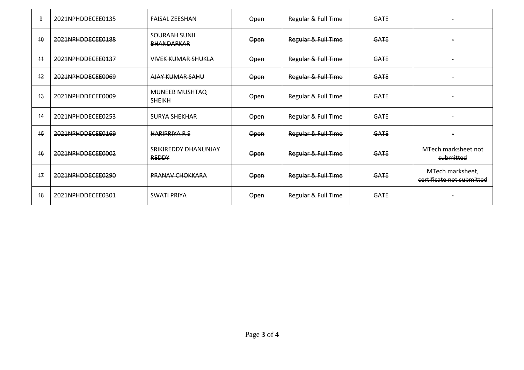| 9  | 2021NPHDDECEE0135 | <b>FAISAL ZEESHAN</b>                     | Open | Regular & Full Time | <b>GATE</b> |                                               |
|----|-------------------|-------------------------------------------|------|---------------------|-------------|-----------------------------------------------|
| 10 | 2021NPHDDECEE0188 | <b>SOURABH SUNIL</b><br><b>BHANDARKAR</b> | Open | Regular & Full Time | <b>GATE</b> |                                               |
| 44 | 2021NPHDDECEE0137 | <b>VIVEK KUMAR SHUKLA</b>                 | Open | Regular & Full Time | <b>GATE</b> |                                               |
| 12 | 2021NPHDDECEE0069 | <b>AJAY KUMAR SAHU</b>                    | Open | Regular & Full Time | <b>GATE</b> |                                               |
| 13 | 2021NPHDDECEE0009 | <b>MUNEEB MUSHTAQ</b><br><b>SHEIKH</b>    | Open | Regular & Full Time | <b>GATE</b> |                                               |
| 14 | 2021NPHDDECEE0253 | <b>SURYA SHEKHAR</b>                      | Open | Regular & Full Time | <b>GATE</b> |                                               |
| 15 | 2021NPHDDECEE0169 | <b>HARIPRIYA R S</b>                      | Open | Regular & Full Time | <b>GATE</b> |                                               |
| 16 | 2021NPHDDECEE0002 | SRIKIREDDY DHANUNJAY<br><b>REDDY</b>      | Open | Regular & Full Time | <b>GATE</b> | MTech marksheet not<br>submitted              |
| 17 | 2021NPHDDECEE0290 | <b>PRANAV CHOKKARA</b>                    | Open | Regular & Full Time | <b>GATE</b> | MTech marksheet,<br>certificate not submitted |
| 18 | 2021NPHDDECEE0301 | <b>SWATI PRIYA</b>                        | Open | Regular & Full Time | <b>GATE</b> |                                               |